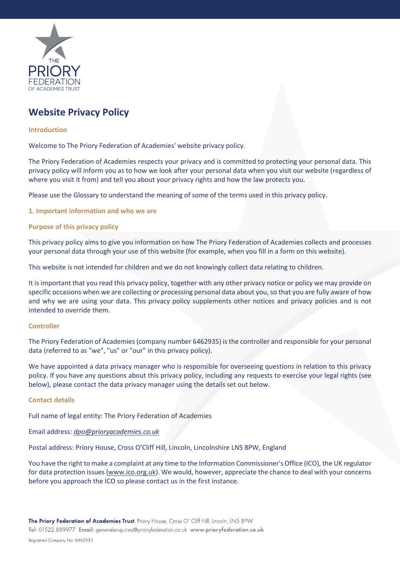

# **Website Privacy Policy**

# **Introduction**

Welcome to The Priory Federation of Academies' website privacy policy.

The Priory Federation of Academies respects your privacy and is committed to protecting your personal data. This privacy policy will inform you as to how we look after your personal data when you visit our website (regardless of where you visit it from) and tell you about your privacy rights and how the law protects you.

Please use the Glossary to understand the meaning of some of the terms used in this privacy policy.

**1. Important information and who we are**

## **Purpose of this privacy policy**

This privacy policy aims to give you information on how The Priory Federation of Academies collects and processes your personal data through your use of this website (for example, when you fill in a form on this website).

This website is not intended for children and we do not knowingly collect data relating to children.

It is important that you read this privacy policy, together with any other privacy notice or policy we may provide on specific occasions when we are collecting or processing personal data about you, so that you are fully aware of how and why we are using your data. This privacy policy supplements other notices and privacy policies and is not intended to override them.

# **Controller**

The Priory Federation of Academies (company number 6462935) is the controller and responsible for your personal data (referred to as "we", "us" or "our" in this privacy policy).

We have appointed a data privacy manager who is responsible for overseeing questions in relation to this privacy policy. If you have any questions about this privacy policy, including any requests to exercise your legal rights (see below), please contact the data privacy manager using the details set out below.

## **Contact details**

Full name of legal entity: The Priory Federation of Academies

# Email address: *[dpo@prioryacademies.co.uk](mailto:dpo@prioryacademies.co.uk)*

Postal address: Priory House, Cross O'Cliff Hill, Lincoln, Lincolnshire LN5 8PW, England

You have the right to make a complaint at any time to the Information Commissioner's Office (ICO), the UK regulator for data protection issues (www.ico.org.uk). We would, however, appreciate the chance to deal with your concerns before you approach the ICO so please contact us in the first instance.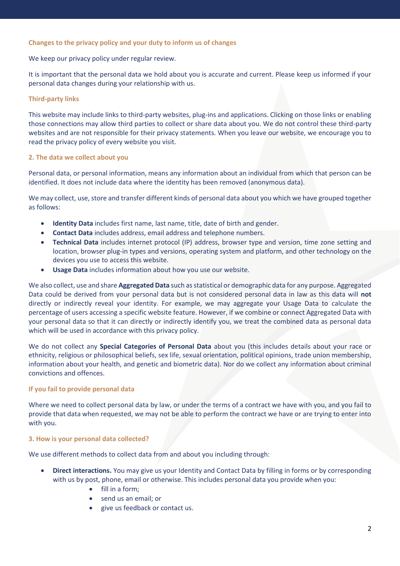# **Changes to the privacy policy and your duty to inform us of changes**

We keep our privacy policy under regular review.

It is important that the personal data we hold about you is accurate and current. Please keep us informed if your personal data changes during your relationship with us.

# **Third-party links**

This website may include links to third-party websites, plug-ins and applications. Clicking on those links or enabling those connections may allow third parties to collect or share data about you. We do not control these third-party websites and are not responsible for their privacy statements. When you leave our website, we encourage you to read the privacy policy of every website you visit.

# **2. The data we collect about you**

Personal data, or personal information, means any information about an individual from which that person can be identified. It does not include data where the identity has been removed (anonymous data).

We may collect, use, store and transfer different kinds of personal data about you which we have grouped together as follows:

- **Identity Data** includes first name, last name, title, date of birth and gender.
- **Contact Data** includes address, email address and telephone numbers.
- **Technical Data** includes internet protocol (IP) address, browser type and version, time zone setting and location, browser plug-in types and versions, operating system and platform, and other technology on the devices you use to access this website.
- **Usage Data** includes information about how you use our website.

We also collect, use and share **Aggregated Data** such as statistical or demographic data for any purpose. Aggregated Data could be derived from your personal data but is not considered personal data in law as this data will **not** directly or indirectly reveal your identity. For example, we may aggregate your Usage Data to calculate the percentage of users accessing a specific website feature. However, if we combine or connect Aggregated Data with your personal data so that it can directly or indirectly identify you, we treat the combined data as personal data which will be used in accordance with this privacy policy.

We do not collect any **Special Categories of Personal Data** about you (this includes details about your race or ethnicity, religious or philosophical beliefs, sex life, sexual orientation, political opinions, trade union membership, information about your health, and genetic and biometric data). Nor do we collect any information about criminal convictions and offences.

# **If you fail to provide personal data**

Where we need to collect personal data by law, or under the terms of a contract we have with you, and you fail to provide that data when requested, we may not be able to perform the contract we have or are trying to enter into with you.

# **3. How is your personal data collected?**

We use different methods to collect data from and about you including through:

- **Direct interactions.** You may give us your Identity and Contact Data by filling in forms or by corresponding with us by post, phone, email or otherwise. This includes personal data you provide when you:
	- fill in a form;
	- send us an email; or
	- give us feedback or contact us.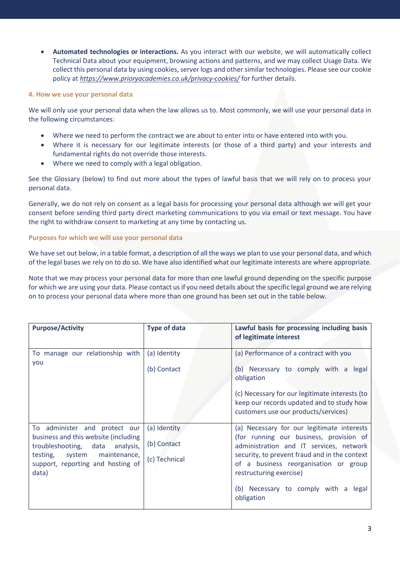**Automated technologies or interactions.** As you interact with our website, we will automatically collect Technical Data about your equipment, browsing actions and patterns, and we may collect Usage Data. We collect this personal data by using cookies, server logs and other similar technologies. Please see our cookie policy at *<https://www.prioryacademies.co.uk/privacy-cookies/>* for further details.

# **4. How we use your personal data**

We will only use your personal data when the law allows us to. Most commonly, we will use your personal data in the following circumstances:

- Where we need to perform the contract we are about to enter into or have entered into with you.
- Where it is necessary for our legitimate interests (or those of a third party) and your interests and fundamental rights do not override those interests.
- Where we need to comply with a legal obligation.

See the Glossary (below) to find out more about the types of lawful basis that we will rely on to process your personal data.

Generally, we do not rely on consent as a legal basis for processing your personal data although we will get your consent before sending third party direct marketing communications to you via email or text message. You have the right to withdraw consent to marketing at any time by contacting us.

# **Purposes for which we will use your personal data**

We have set out below, in a table format, a description of all the ways we plan to use your personal data, and which of the legal bases we rely on to do so. We have also identified what our legitimate interests are where appropriate.

Note that we may process your personal data for more than one lawful ground depending on the specific purpose for which we are using your data. Please contact us if you need details about the specific legal ground we are relying on to process your personal data where more than one ground has been set out in the table below.

| <b>Purpose/Activity</b>                                                                                                                                                                         | <b>Type of data</b>                          | Lawful basis for processing including basis<br>of legitimate interest                                                                                                                                                                                                                                       |
|-------------------------------------------------------------------------------------------------------------------------------------------------------------------------------------------------|----------------------------------------------|-------------------------------------------------------------------------------------------------------------------------------------------------------------------------------------------------------------------------------------------------------------------------------------------------------------|
| To manage our relationship with<br>you                                                                                                                                                          | (a) Identity<br>(b) Contact                  | (a) Performance of a contract with you<br>(b) Necessary to comply with a legal<br>obligation<br>(c) Necessary for our legitimate interests (to<br>keep our records updated and to study how<br>customers use our products/services)                                                                         |
| To administer and protect our<br>business and this website (including<br>troubleshooting, data<br>analysis,<br>maintenance,<br>testing,<br>system<br>support, reporting and hosting of<br>data) | (a) Identity<br>(b) Contact<br>(c) Technical | (a) Necessary for our legitimate interests<br>(for running our business, provision of<br>administration and IT services, network<br>security, to prevent fraud and in the context<br>of a business reorganisation or group<br>restructuring exercise)<br>(b) Necessary to comply with a legal<br>obligation |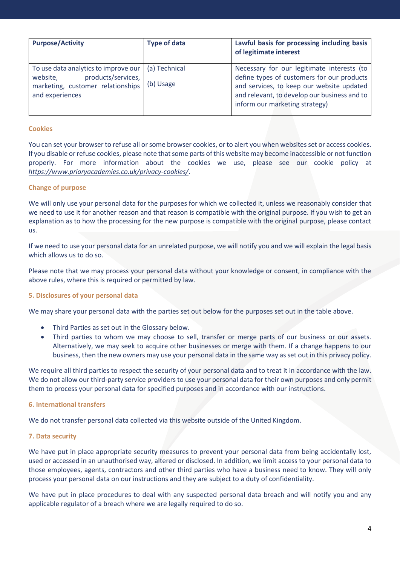| <b>Purpose/Activity</b>                                                                                                        | <b>Type of data</b>        | Lawful basis for processing including basis<br>of legitimate interest                                                                                                                                                   |
|--------------------------------------------------------------------------------------------------------------------------------|----------------------------|-------------------------------------------------------------------------------------------------------------------------------------------------------------------------------------------------------------------------|
| To use data analytics to improve our<br>products/services,<br>website,<br>marketing, customer relationships<br>and experiences | (a) Technical<br>(b) Usage | Necessary for our legitimate interests (to<br>define types of customers for our products<br>and services, to keep our website updated<br>and relevant, to develop our business and to<br>inform our marketing strategy) |

# **Cookies**

You can set your browser to refuse all or some browser cookies, or to alert you when websites set or access cookies. If you disable or refuse cookies, please note that some parts of this website may become inaccessible or not function properly. For more information about the cookies we use, please see our cookie policy at *<https://www.prioryacademies.co.uk/privacy-cookies/>*.

## **Change of purpose**

We will only use your personal data for the purposes for which we collected it, unless we reasonably consider that we need to use it for another reason and that reason is compatible with the original purpose. If you wish to get an explanation as to how the processing for the new purpose is compatible with the original purpose, please contact us.

If we need to use your personal data for an unrelated purpose, we will notify you and we will explain the legal basis which allows us to do so.

Please note that we may process your personal data without your knowledge or consent, in compliance with the above rules, where this is required or permitted by law.

## **5. Disclosures of your personal data**

We may share your personal data with the parties set out below for the purposes set out in the table above.

- Third Parties as set out in the Glossary below.
- Third parties to whom we may choose to sell, transfer or merge parts of our business or our assets. Alternatively, we may seek to acquire other businesses or merge with them. If a change happens to our business, then the new owners may use your personal data in the same way as set out in this privacy policy.

We require all third parties to respect the security of your personal data and to treat it in accordance with the law. We do not allow our third-party service providers to use your personal data for their own purposes and only permit them to process your personal data for specified purposes and in accordance with our instructions.

## **6. International transfers**

We do not transfer personal data collected via this website outside of the United Kingdom.

# **7. Data security**

We have put in place appropriate security measures to prevent your personal data from being accidentally lost, used or accessed in an unauthorised way, altered or disclosed. In addition, we limit access to your personal data to those employees, agents, contractors and other third parties who have a business need to know. They will only process your personal data on our instructions and they are subject to a duty of confidentiality.

We have put in place procedures to deal with any suspected personal data breach and will notify you and any applicable regulator of a breach where we are legally required to do so.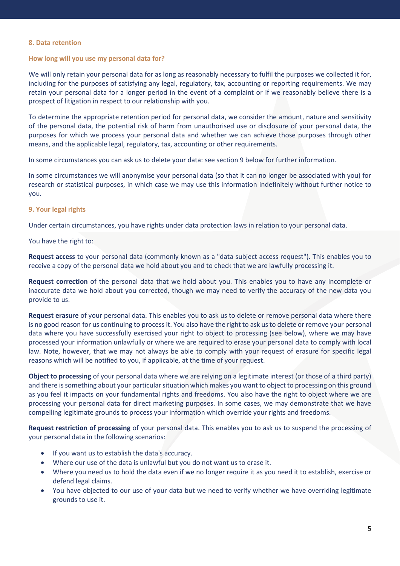## **8. Data retention**

## **How long will you use my personal data for?**

We will only retain your personal data for as long as reasonably necessary to fulfil the purposes we collected it for, including for the purposes of satisfying any legal, regulatory, tax, accounting or reporting requirements. We may retain your personal data for a longer period in the event of a complaint or if we reasonably believe there is a prospect of litigation in respect to our relationship with you.

To determine the appropriate retention period for personal data, we consider the amount, nature and sensitivity of the personal data, the potential risk of harm from unauthorised use or disclosure of your personal data, the purposes for which we process your personal data and whether we can achieve those purposes through other means, and the applicable legal, regulatory, tax, accounting or other requirements.

In some circumstances you can ask us to delete your data: see section 9 below for further information.

In some circumstances we will anonymise your personal data (so that it can no longer be associated with you) for research or statistical purposes, in which case we may use this information indefinitely without further notice to you.

## **9. Your legal rights**

Under certain circumstances, you have rights under data protection laws in relation to your personal data.

You have the right to:

**Request access** to your personal data (commonly known as a "data subject access request"). This enables you to receive a copy of the personal data we hold about you and to check that we are lawfully processing it.

**Request correction** of the personal data that we hold about you. This enables you to have any incomplete or inaccurate data we hold about you corrected, though we may need to verify the accuracy of the new data you provide to us.

**Request erasure** of your personal data. This enables you to ask us to delete or remove personal data where there is no good reason for us continuing to process it. You also have the right to ask us to delete or remove your personal data where you have successfully exercised your right to object to processing (see below), where we may have processed your information unlawfully or where we are required to erase your personal data to comply with local law. Note, however, that we may not always be able to comply with your request of erasure for specific legal reasons which will be notified to you, if applicable, at the time of your request.

**Object to processing** of your personal data where we are relying on a legitimate interest (or those of a third party) and there is something about your particular situation which makes you want to object to processing on this ground as you feel it impacts on your fundamental rights and freedoms. You also have the right to object where we are processing your personal data for direct marketing purposes. In some cases, we may demonstrate that we have compelling legitimate grounds to process your information which override your rights and freedoms.

**Request restriction of processing** of your personal data. This enables you to ask us to suspend the processing of your personal data in the following scenarios:

- If you want us to establish the data's accuracy.
- Where our use of the data is unlawful but you do not want us to erase it.
- Where you need us to hold the data even if we no longer require it as you need it to establish, exercise or defend legal claims.
- You have objected to our use of your data but we need to verify whether we have overriding legitimate grounds to use it.